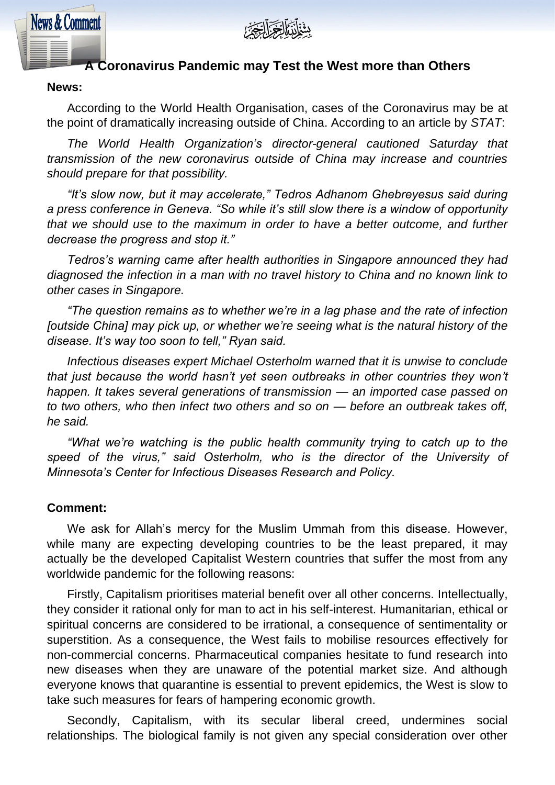

# **A Coronavirus Pandemic may Test the West more than Others**

### **News:**

**News & Comment** 

According to the World Health Organisation, cases of the Coronavirus may be at the point of dramatically increasing outside of China. According to an article by *STAT*:

*The World Health Organization's director-general cautioned Saturday that transmission of the new coronavirus outside of China may increase and countries should prepare for that possibility.*

*"It's slow now, but it may accelerate," Tedros Adhanom Ghebreyesus said during a press conference in Geneva. "So while it's still slow there is a window of opportunity that we should use to the maximum in order to have a better outcome, and further decrease the progress and stop it."*

*Tedros's warning came after health authorities in Singapore announced they had diagnosed the infection in a man with no travel history to China and no known link to other cases in Singapore.*

*"The question remains as to whether we're in a lag phase and the rate of infection [outside China] may pick up, or whether we're seeing what is the natural history of the disease. It's way too soon to tell," Ryan said.*

*Infectious diseases expert Michael Osterholm warned that it is unwise to conclude that just because the world hasn't yet seen outbreaks in other countries they won't happen. It takes several generations of transmission — an imported case passed on to two others, who then infect two others and so on — before an outbreak takes off, he said.*

*"What we're watching is the public health community trying to catch up to the speed of the virus," said Osterholm, who is the director of the University of Minnesota's Center for Infectious Diseases Research and Policy.*

#### **Comment:**

We ask for Allah's mercy for the Muslim Ummah from this disease. However, while many are expecting developing countries to be the least prepared, it may actually be the developed Capitalist Western countries that suffer the most from any worldwide pandemic for the following reasons:

Firstly, Capitalism prioritises material benefit over all other concerns. Intellectually, they consider it rational only for man to act in his self-interest. Humanitarian, ethical or spiritual concerns are considered to be irrational, a consequence of sentimentality or superstition. As a consequence, the West fails to mobilise resources effectively for non-commercial concerns. Pharmaceutical companies hesitate to fund research into new diseases when they are unaware of the potential market size. And although everyone knows that quarantine is essential to prevent epidemics, the West is slow to take such measures for fears of hampering economic growth.

Secondly, Capitalism, with its secular liberal creed, undermines social relationships. The biological family is not given any special consideration over other